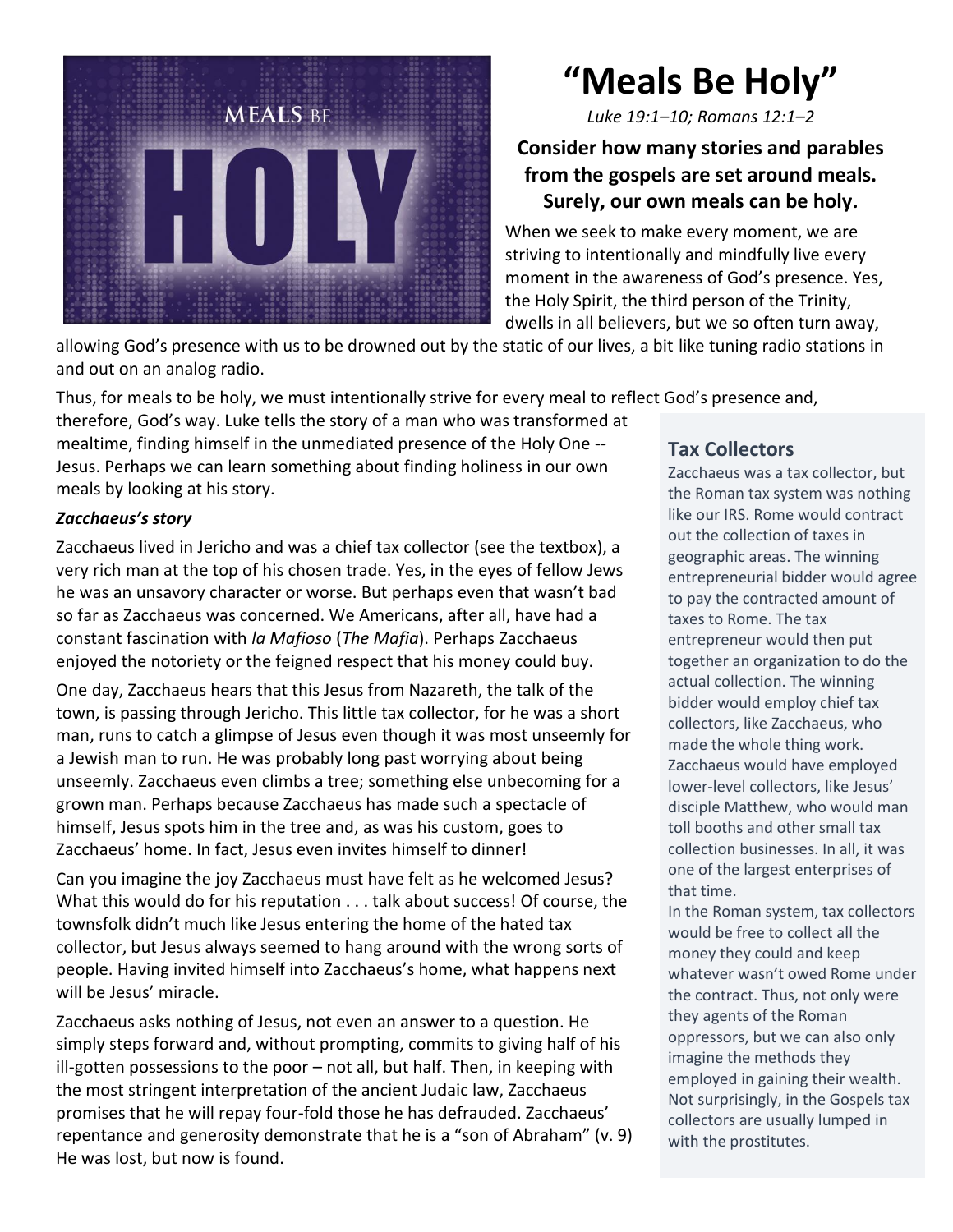

# **"Meals Be Holy"**

*Luke 19:1–10; Romans 12:1–2*

## **Consider how many stories and parables from the gospels are set around meals. Surely, our own meals can be holy.**

When we seek to make every moment, we are striving to intentionally and mindfully live every moment in the awareness of God's presence. Yes, the Holy Spirit, the third person of the Trinity, dwells in all believers, but we so often turn away,

allowing God's presence with us to be drowned out by the static of our lives, a bit like tuning radio stations in and out on an analog radio.

Thus, for meals to be holy, we must intentionally strive for every meal to reflect God's presence and,

therefore, God's way. Luke tells the story of a man who was transformed at mealtime, finding himself in the unmediated presence of the Holy One -- Jesus. Perhaps we can learn something about finding holiness in our own meals by looking at his story.

#### *Zacchaeus's story*

Zacchaeus lived in Jericho and was a chief tax collector (see the textbox), a very rich man at the top of his chosen trade. Yes, in the eyes of fellow Jews he was an unsavory character or worse. But perhaps even that wasn't bad so far as Zacchaeus was concerned. We Americans, after all, have had a constant fascination with *la Mafioso* (*The Mafia*). Perhaps Zacchaeus enjoyed the notoriety or the feigned respect that his money could buy.

One day, Zacchaeus hears that this Jesus from Nazareth, the talk of the town, is passing through Jericho. This little tax collector, for he was a short man, runs to catch a glimpse of Jesus even though it was most unseemly for a Jewish man to run. He was probably long past worrying about being unseemly. Zacchaeus even climbs a tree; something else unbecoming for a grown man. Perhaps because Zacchaeus has made such a spectacle of himself, Jesus spots him in the tree and, as was his custom, goes to Zacchaeus' home. In fact, Jesus even invites himself to dinner!

Can you imagine the joy Zacchaeus must have felt as he welcomed Jesus? What this would do for his reputation . . . talk about success! Of course, the townsfolk didn't much like Jesus entering the home of the hated tax collector, but Jesus always seemed to hang around with the wrong sorts of people. Having invited himself into Zacchaeus's home, what happens next will be Jesus' miracle.

Zacchaeus asks nothing of Jesus, not even an answer to a question. He simply steps forward and, without prompting, commits to giving half of his ill-gotten possessions to the poor – not all, but half. Then, in keeping with the most stringent interpretation of the ancient Judaic law, Zacchaeus promises that he will repay four-fold those he has defrauded. Zacchaeus' repentance and generosity demonstrate that he is a "son of Abraham" (v. 9) He was lost, but now is found.

## **Tax Collectors**

Zacchaeus was a tax collector, but the Roman tax system was nothing like our IRS. Rome would contract out the collection of taxes in geographic areas. The winning entrepreneurial bidder would agree to pay the contracted amount of taxes to Rome. The tax entrepreneur would then put together an organization to do the actual collection. The winning bidder would employ chief tax collectors, like Zacchaeus, who made the whole thing work. Zacchaeus would have employed lower-level collectors, like Jesus' disciple Matthew, who would man toll booths and other small tax collection businesses. In all, it was one of the largest enterprises of that time.

In the Roman system, tax collectors would be free to collect all the money they could and keep whatever wasn't owed Rome under the contract. Thus, not only were they agents of the Roman oppressors, but we can also only imagine the methods they employed in gaining their wealth. Not surprisingly, in the Gospels tax collectors are usually lumped in with the prostitutes.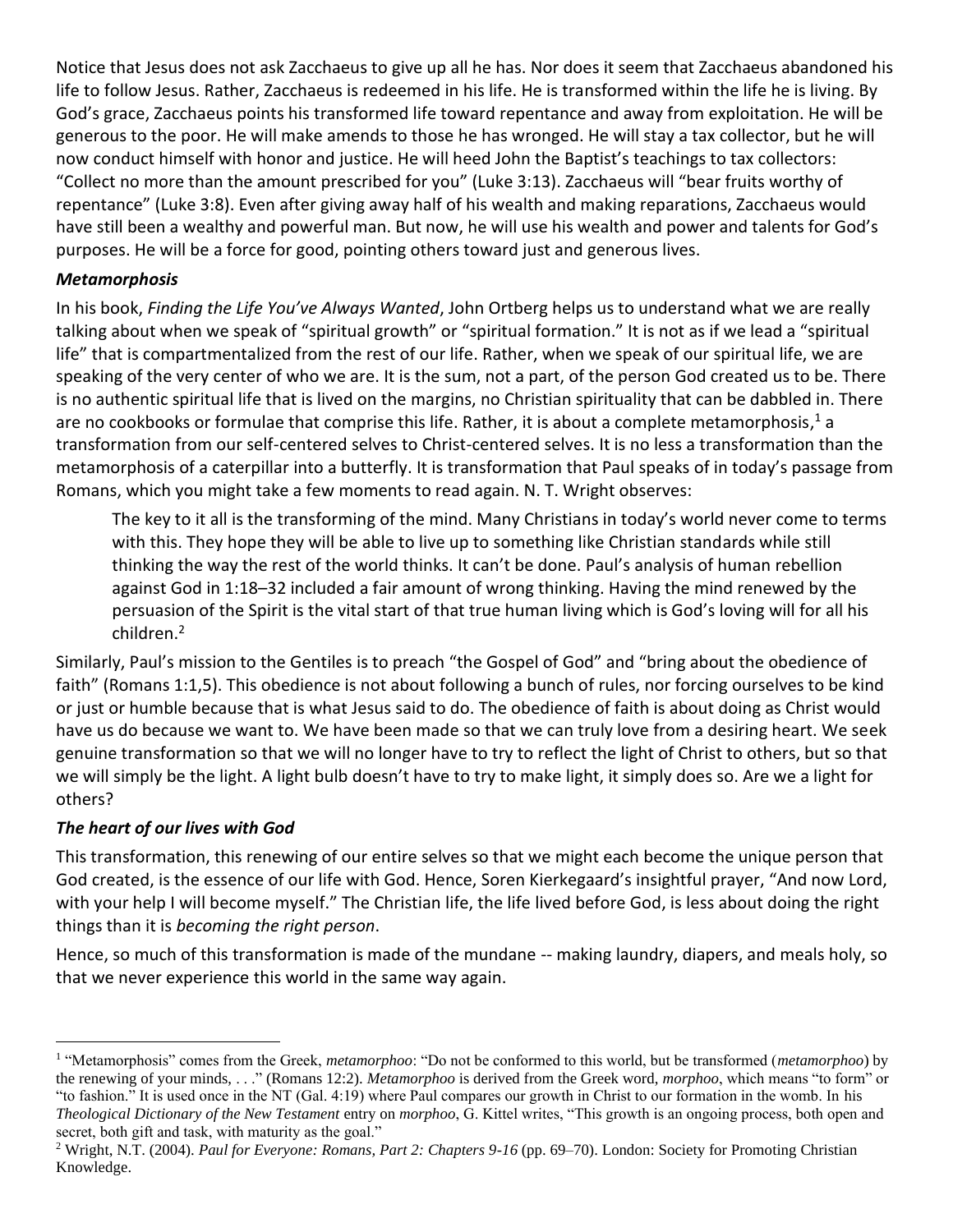Notice that Jesus does not ask Zacchaeus to give up all he has. Nor does it seem that Zacchaeus abandoned his life to follow Jesus. Rather, Zacchaeus is redeemed in his life. He is transformed within the life he is living. By God's grace, Zacchaeus points his transformed life toward repentance and away from exploitation. He will be generous to the poor. He will make amends to those he has wronged. He will stay a tax collector, but he will now conduct himself with honor and justice. He will heed John the Baptist's teachings to tax collectors: "Collect no more than the amount prescribed for you" (Luke 3:13). Zacchaeus will "bear fruits worthy of repentance" (Luke 3:8). Even after giving away half of his wealth and making reparations, Zacchaeus would have still been a wealthy and powerful man. But now, he will use his wealth and power and talents for God's purposes. He will be a force for good, pointing others toward just and generous lives.

#### *Metamorphosis*

In his book, *Finding the Life You've Always Wanted*, John Ortberg helps us to understand what we are really talking about when we speak of "spiritual growth" or "spiritual formation." It is not as if we lead a "spiritual life" that is compartmentalized from the rest of our life. Rather, when we speak of our spiritual life, we are speaking of the very center of who we are. It is the sum, not a part, of the person God created us to be. There is no authentic spiritual life that is lived on the margins, no Christian spirituality that can be dabbled in. There are no cookbooks or formulae that comprise this life. Rather, it is about a complete metamorphosis,<sup>1</sup> a transformation from our self-centered selves to Christ-centered selves. It is no less a transformation than the metamorphosis of a caterpillar into a butterfly. It is transformation that Paul speaks of in today's passage from Romans, which you might take a few moments to read again. N. T. Wright observes:

The key to it all is the transforming of the mind. Many Christians in today's world never come to terms with this. They hope they will be able to live up to something like Christian standards while still thinking the way the rest of the world thinks. It can't be done. Paul's analysis of human rebellion against God in 1:18–32 included a fair amount of wrong thinking. Having the mind renewed by the persuasion of the Spirit is the vital start of that true human living which is God's loving will for all his children.<sup>2</sup>

Similarly, Paul's mission to the Gentiles is to preach "the Gospel of God" and "bring about the obedience of faith" (Romans 1:1,5). This obedience is not about following a bunch of rules, nor forcing ourselves to be kind or just or humble because that is what Jesus said to do. The obedience of faith is about doing as Christ would have us do because we want to. We have been made so that we can truly love from a desiring heart. We seek genuine transformation so that we will no longer have to try to reflect the light of Christ to others, but so that we will simply be the light. A light bulb doesn't have to try to make light, it simply does so. Are we a light for others?

### *The heart of our lives with God*

This transformation, this renewing of our entire selves so that we might each become the unique person that God created, is the essence of our life with God. Hence, Soren Kierkegaard's insightful prayer, "And now Lord, with your help I will become myself." The Christian life, the life lived before God, is less about doing the right things than it is *becoming the right person*.

Hence, so much of this transformation is made of the mundane -- making laundry, diapers, and meals holy, so that we never experience this world in the same way again.

<sup>&</sup>lt;sup>1</sup> "Metamorphosis" comes from the Greek, *metamorphoo*: "Do not be conformed to this world, but be transformed (*metamorphoo*) by the renewing of your minds, . . ." (Romans 12:2). *Metamorphoo* is derived from the Greek word, *morphoo*, which means "to form" or "to fashion." It is used once in the NT (Gal. 4:19) where Paul compares our growth in Christ to our formation in the womb. In his *Theological Dictionary of the New Testament* entry on *morphoo*, G. Kittel writes, "This growth is an ongoing process, both open and secret, both gift and task, with maturity as the goal."

<sup>2</sup> Wright, N.T. (2004). *Paul for Everyone: Romans, Part 2: Chapters 9-16* (pp. 69–70). London: Society for Promoting Christian Knowledge.